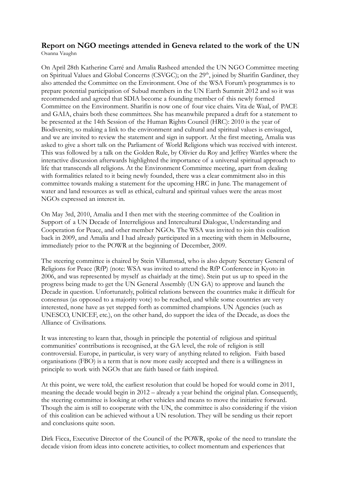## **Report on NGO meetings attended in Geneva related to the work of the UN**

Osanna Vaughn

On April 28th Katherine Carré and Amalia Rasheed attended the UN NGO Committee meeting on Spiritual Values and Global Concerns (CSVGC); on the 29<sup>th</sup>, joined by Sharifin Gardiner, they also attended the Committee on the Environment. One of the WSA Forum's programmes is to prepare potential participation of Subud members in the UN Earth Summit 2012 and so it was recommended and agreed that SDIA become a founding member of this newly formed Committee on the Environment. Sharifin is now one of four vice chairs. Vita de Waal, of PACE and GAIA, chairs both these committees. She has meanwhile prepared a draft for a statement to be presented at the 14th Session of the Human Rights Council (HRC): 2010 is the year of Biodiversity, so making a link to the environment and cultural and spiritual values is envisaged, and we are invited to review the statement and sign in support. At the first meeting, Amalia was asked to give a short talk on the Parliament of World Religions which was received with interest. This was followed by a talk on the Golden Rule, by Olivier du Roy and Jeffrey Wattles where the interactive discussion afterwards highlighted the importance of a universal spiritual approach to life that transcends all religions. At the Environment Committee meeting, apart from dealing with formalities related to it being newly founded, there was a clear commitment also in this committee towards making a statement for the upcoming HRC in June. The management of water and land resources as well as ethical, cultural and spiritual values were the areas most NGOs expressed an interest in.

On May 3rd, 2010, Amalia and I then met with the steering committee of the Coalition in Support of a UN Decade of Interreligious and Intercultural Dialogue, Understanding and Cooperation for Peace, and other member NGOs. The WSA was invited to join this coalition back in 2009, and Amalia and I had already participated in a meeting with them in Melbourne, immediately prior to the POWR at the beginning of December, 2009.

The steering committee is chaired by Stein Villumstad, who is also deputy Secretary General of Religions for Peace (RfP) (note: WSA was invited to attend the RfP Conference in Kyoto in 2006, and was represented by myself as chairlady at the time). Stein put us up to speed in the progress being made to get the UN General Assembly (UN GA) to approve and launch the Decade in question. Unfortunately, political relations between the countries make it difficult for consensus (as opposed to a majority vote) to be reached, and while some countries are very interested, none have as yet stepped forth as committed champions. UN Agencies (such as UNESCO, UNICEF, etc.), on the other hand, do support the idea of the Decade, as does the Alliance of Civilisations.

It was interesting to learn that, though in principle the potential of religious and spiritual communities' contributions is recognised, at the GA level, the role of religion is still controversial. Europe, in particular, is very wary of anything related to religion. Faith based organisations (FBO) is a term that is now more easily accepted and there is a willingness in principle to work with NGOs that are faith based or faith inspired.

At this point, we were told, the earliest resolution that could be hoped for would come in 2011, meaning the decade would begin in 2012 – already a year behind the original plan. Consequently, the steering committee is looking at other vehicles and means to move the initiative forward. Though the aim is still to cooperate with the UN, the committee is also considering if the vision of this coalition can be achieved without a UN resolution. They will be sending us their report and conclusions quite soon.

Dirk Ficca, Executive Director of the Council of the POWR, spoke of the need to translate the decade vision from ideas into concrete activities, to collect momentum and experiences that